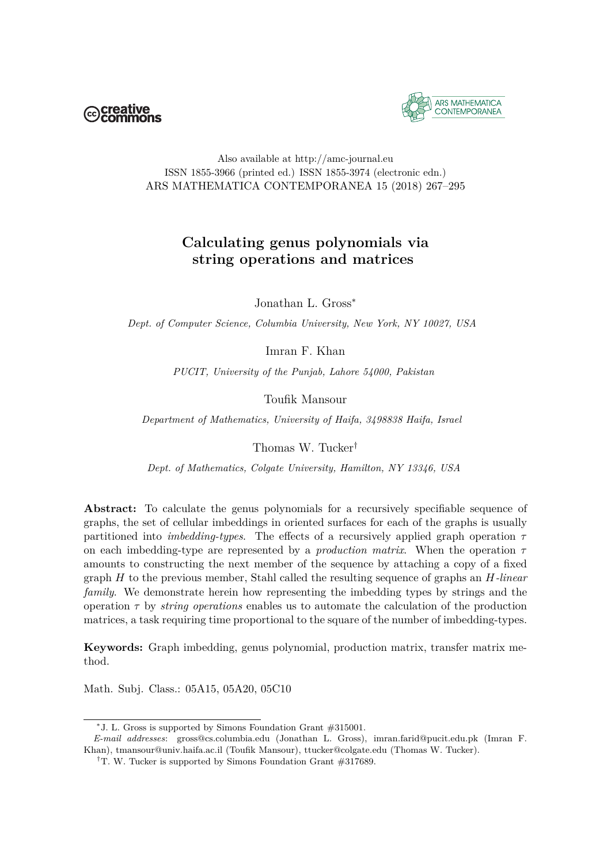



## Also available at http://amc-journal.eu ISSN 1855-3966 (printed ed.) ISSN 1855-3974 (electronic edn.) ARS MATHEMATICA CONTEMPORANEA 15 (2018) 267–295

## **Calculating genus polynomials via string operations and matrices**

Jonathan L. Gross<sup>∗</sup>

*Dept. of Computer Science, Columbia University, New York, NY 10027, USA*

Imran F. Khan

*PUCIT, University of the Punjab, Lahore 54000, Pakistan*

Toufik Mansour

*Department of Mathematics, University of Haifa, 3498838 Haifa, Israel*

Thomas W. Tucker†

*Dept. of Mathematics, Colgate University, Hamilton, NY 13346, USA*

**Abstract:** To calculate the genus polynomials for a recursively specifiable sequence of graphs, the set of cellular imbeddings in oriented surfaces for each of the graphs is usually partitioned into *imbedding-types*. The effects of a recursively applied graph operation *τ* on each imbedding-type are represented by a *production matrix*. When the operation *τ* amounts to constructing the next member of the sequence by attaching a copy of a fixed graph *H* to the previous member, Stahl called the resulting sequence of graphs an *H-linear family*. We demonstrate herein how representing the imbedding types by strings and the operation *τ* by *string operations* enables us to automate the calculation of the production matrices, a task requiring time proportional to the square of the number of imbedding-types.

**Keywords:** Graph imbedding, genus polynomial, production matrix, transfer matrix method.

Math. Subj. Class.: 05A15, 05A20, 05C10

<sup>∗</sup> J. L. Gross is supported by Simons Foundation Grant #315001.

*E-mail addresses*: gross@cs.columbia.edu (Jonathan L. Gross), imran.farid@pucit.edu.pk (Imran F. Khan), tmansour@univ.haifa.ac.il (Toufik Mansour), ttucker@colgate.edu (Thomas W. Tucker).

<sup>&</sup>lt;sup>†</sup>T. W. Tucker is supported by Simons Foundation Grant #317689.